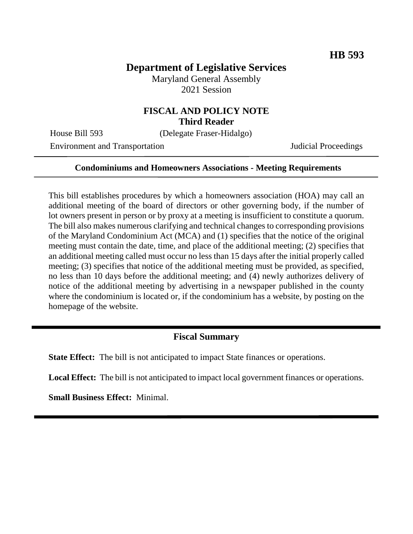# **Department of Legislative Services**

Maryland General Assembly 2021 Session

#### **FISCAL AND POLICY NOTE Third Reader**

House Bill 593 (Delegate Fraser-Hidalgo)

Environment and Transportation Judicial Proceedings

#### **Condominiums and Homeowners Associations - Meeting Requirements**

This bill establishes procedures by which a homeowners association (HOA) may call an additional meeting of the board of directors or other governing body, if the number of lot owners present in person or by proxy at a meeting is insufficient to constitute a quorum. The bill also makes numerous clarifying and technical changes to corresponding provisions of the Maryland Condominium Act (MCA) and (1) specifies that the notice of the original meeting must contain the date, time, and place of the additional meeting; (2) specifies that an additional meeting called must occur no less than 15 days after the initial properly called meeting; (3) specifies that notice of the additional meeting must be provided, as specified, no less than 10 days before the additional meeting; and (4) newly authorizes delivery of notice of the additional meeting by advertising in a newspaper published in the county where the condominium is located or, if the condominium has a website, by posting on the homepage of the website.

## **Fiscal Summary**

**State Effect:** The bill is not anticipated to impact State finances or operations.

**Local Effect:** The bill is not anticipated to impact local government finances or operations.

**Small Business Effect:** Minimal.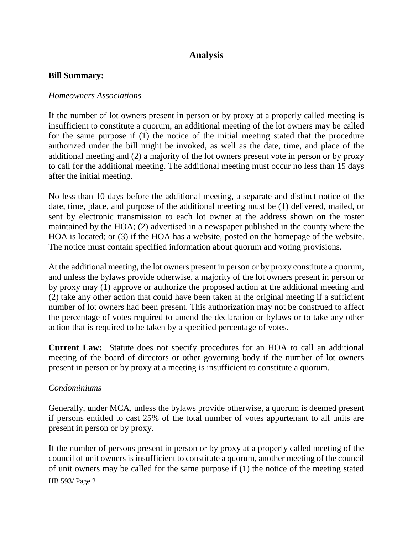# **Analysis**

#### **Bill Summary:**

#### *Homeowners Associations*

If the number of lot owners present in person or by proxy at a properly called meeting is insufficient to constitute a quorum, an additional meeting of the lot owners may be called for the same purpose if (1) the notice of the initial meeting stated that the procedure authorized under the bill might be invoked, as well as the date, time, and place of the additional meeting and (2) a majority of the lot owners present vote in person or by proxy to call for the additional meeting. The additional meeting must occur no less than 15 days after the initial meeting.

No less than 10 days before the additional meeting, a separate and distinct notice of the date, time, place, and purpose of the additional meeting must be (1) delivered, mailed, or sent by electronic transmission to each lot owner at the address shown on the roster maintained by the HOA; (2) advertised in a newspaper published in the county where the HOA is located; or (3) if the HOA has a website, posted on the homepage of the website. The notice must contain specified information about quorum and voting provisions.

At the additional meeting, the lot owners present in person or by proxy constitute a quorum, and unless the bylaws provide otherwise, a majority of the lot owners present in person or by proxy may (1) approve or authorize the proposed action at the additional meeting and (2) take any other action that could have been taken at the original meeting if a sufficient number of lot owners had been present. This authorization may not be construed to affect the percentage of votes required to amend the declaration or bylaws or to take any other action that is required to be taken by a specified percentage of votes.

**Current Law:** Statute does not specify procedures for an HOA to call an additional meeting of the board of directors or other governing body if the number of lot owners present in person or by proxy at a meeting is insufficient to constitute a quorum.

#### *Condominiums*

Generally, under MCA, unless the bylaws provide otherwise, a quorum is deemed present if persons entitled to cast 25% of the total number of votes appurtenant to all units are present in person or by proxy.

HB 593/ Page 2 If the number of persons present in person or by proxy at a properly called meeting of the council of unit owners is insufficient to constitute a quorum, another meeting of the council of unit owners may be called for the same purpose if (1) the notice of the meeting stated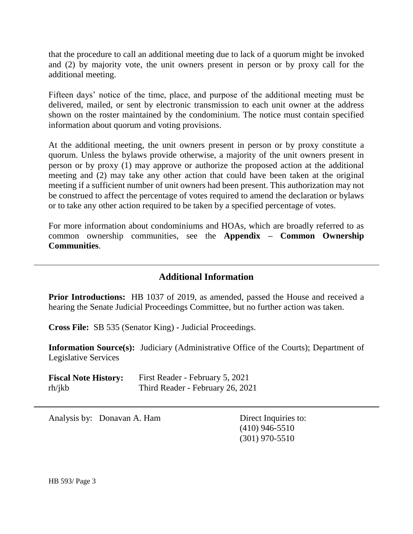that the procedure to call an additional meeting due to lack of a quorum might be invoked and (2) by majority vote, the unit owners present in person or by proxy call for the additional meeting.

Fifteen days' notice of the time, place, and purpose of the additional meeting must be delivered, mailed, or sent by electronic transmission to each unit owner at the address shown on the roster maintained by the condominium. The notice must contain specified information about quorum and voting provisions.

At the additional meeting, the unit owners present in person or by proxy constitute a quorum. Unless the bylaws provide otherwise, a majority of the unit owners present in person or by proxy (1) may approve or authorize the proposed action at the additional meeting and (2) may take any other action that could have been taken at the original meeting if a sufficient number of unit owners had been present. This authorization may not be construed to affect the percentage of votes required to amend the declaration or bylaws or to take any other action required to be taken by a specified percentage of votes.

For more information about condominiums and HOAs, which are broadly referred to as common ownership communities, see the **Appendix – Common Ownership Communities**.

## **Additional Information**

**Prior Introductions:** HB 1037 of 2019, as amended, passed the House and received a hearing the Senate Judicial Proceedings Committee, but no further action was taken.

**Cross File:** SB 535 (Senator King) - Judicial Proceedings.

**Information Source(s):** Judiciary (Administrative Office of the Courts); Department of Legislative Services

| <b>Fiscal Note History:</b> | First Reader - February 5, 2021  |
|-----------------------------|----------------------------------|
| $rh$ /jkb                   | Third Reader - February 26, 2021 |

Analysis by: Donavan A. Ham Direct Inquiries to:

(410) 946-5510 (301) 970-5510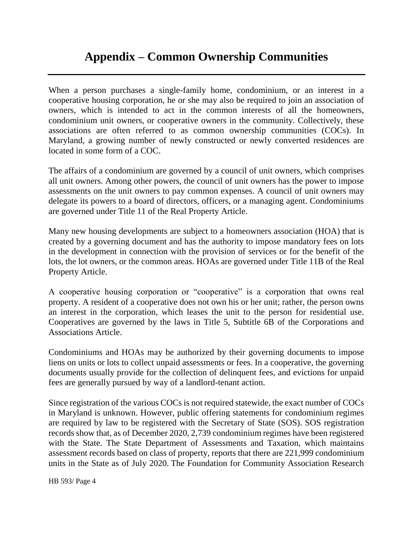# **Appendix – Common Ownership Communities**

When a person purchases a single-family home, condominium, or an interest in a cooperative housing corporation, he or she may also be required to join an association of owners, which is intended to act in the common interests of all the homeowners, condominium unit owners, or cooperative owners in the community. Collectively, these associations are often referred to as common ownership communities (COCs). In Maryland, a growing number of newly constructed or newly converted residences are located in some form of a COC.

The affairs of a condominium are governed by a council of unit owners, which comprises all unit owners. Among other powers, the council of unit owners has the power to impose assessments on the unit owners to pay common expenses. A council of unit owners may delegate its powers to a board of directors, officers, or a managing agent. Condominiums are governed under Title 11 of the Real Property Article.

Many new housing developments are subject to a homeowners association (HOA) that is created by a governing document and has the authority to impose mandatory fees on lots in the development in connection with the provision of services or for the benefit of the lots, the lot owners, or the common areas. HOAs are governed under Title 11B of the Real Property Article.

A cooperative housing corporation or "cooperative" is a corporation that owns real property. A resident of a cooperative does not own his or her unit; rather, the person owns an interest in the corporation, which leases the unit to the person for residential use. Cooperatives are governed by the laws in Title 5, Subtitle 6B of the Corporations and Associations Article.

Condominiums and HOAs may be authorized by their governing documents to impose liens on units or lots to collect unpaid assessments or fees. In a cooperative, the governing documents usually provide for the collection of delinquent fees, and evictions for unpaid fees are generally pursued by way of a landlord-tenant action.

Since registration of the various COCs is not required statewide, the exact number of COCs in Maryland is unknown. However, public offering statements for condominium regimes are required by law to be registered with the Secretary of State (SOS). SOS registration records show that, as of December 2020, 2,739 condominium regimes have been registered with the State. The State Department of Assessments and Taxation, which maintains assessment records based on class of property, reports that there are 221,999 condominium units in the State as of July 2020. The Foundation for Community Association Research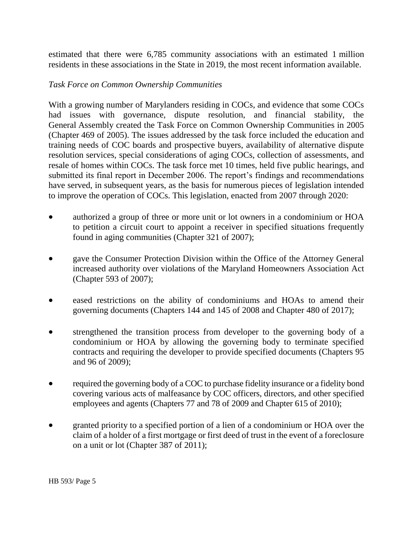estimated that there were 6,785 community associations with an estimated 1 million residents in these associations in the State in 2019, the most recent information available.

### *Task Force on Common Ownership Communities*

With a growing number of Marylanders residing in COCs, and evidence that some COCs had issues with governance, dispute resolution, and financial stability, the General Assembly created the Task Force on Common Ownership Communities in 2005 (Chapter 469 of 2005). The issues addressed by the task force included the education and training needs of COC boards and prospective buyers, availability of alternative dispute resolution services, special considerations of aging COCs, collection of assessments, and resale of homes within COCs. The task force met 10 times, held five public hearings, and submitted its final report in December 2006. The report's findings and recommendations have served, in subsequent years, as the basis for numerous pieces of legislation intended to improve the operation of COCs. This legislation, enacted from 2007 through 2020:

- authorized a group of three or more unit or lot owners in a condominium or HOA to petition a circuit court to appoint a receiver in specified situations frequently found in aging communities (Chapter 321 of 2007);
- gave the Consumer Protection Division within the Office of the Attorney General increased authority over violations of the Maryland Homeowners Association Act (Chapter 593 of 2007);
- eased restrictions on the ability of condominiums and HOAs to amend their governing documents (Chapters 144 and 145 of 2008 and Chapter 480 of 2017);
- strengthened the transition process from developer to the governing body of a condominium or HOA by allowing the governing body to terminate specified contracts and requiring the developer to provide specified documents (Chapters 95 and 96 of 2009);
- required the governing body of a COC to purchase fidelity insurance or a fidelity bond covering various acts of malfeasance by COC officers, directors, and other specified employees and agents (Chapters 77 and 78 of 2009 and Chapter 615 of 2010);
- granted priority to a specified portion of a lien of a condominium or HOA over the claim of a holder of a first mortgage or first deed of trust in the event of a foreclosure on a unit or lot (Chapter 387 of 2011);